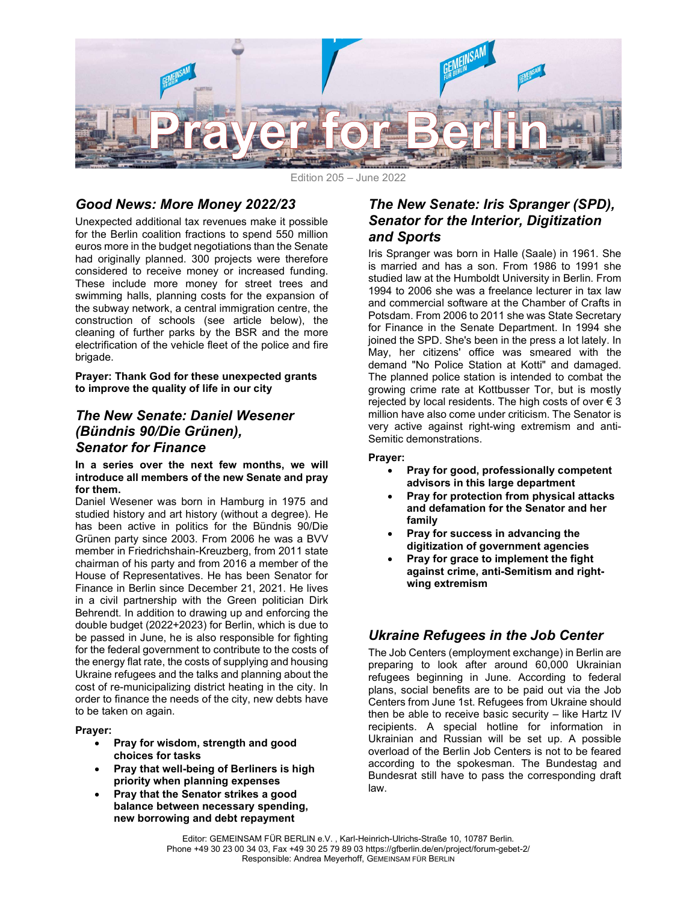

Edition 205 – June 2022

# Good News: More Money 2022/23

Unexpected additional tax revenues make it possible for the Berlin coalition fractions to spend 550 million euros more in the budget negotiations than the Senate had originally planned. 300 projects were therefore considered to receive money or increased funding. These include more money for street trees and swimming halls, planning costs for the expansion of the subway network, a central immigration centre, the construction of schools (see article below), the cleaning of further parks by the BSR and the more electrification of the vehicle fleet of the police and fire brigade.

Prayer: Thank God for these unexpected grants to improve the quality of life in our city

### The New Senate: Daniel Wesener (Bündnis 90/Die Grünen), Senator for Finance

#### In a series over the next few months, we will introduce all members of the new Senate and pray for them.

Daniel Wesener was born in Hamburg in 1975 and studied history and art history (without a degree). He has been active in politics for the Bündnis 90/Die Grünen party since 2003. From 2006 he was a BVV member in Friedrichshain-Kreuzberg, from 2011 state chairman of his party and from 2016 a member of the House of Representatives. He has been Senator for Finance in Berlin since December 21, 2021. He lives in a civil partnership with the Green politician Dirk Behrendt. In addition to drawing up and enforcing the double budget (2022+2023) for Berlin, which is due to be passed in June, he is also responsible for fighting for the federal government to contribute to the costs of the energy flat rate, the costs of supplying and housing Ukraine refugees and the talks and planning about the cost of re-municipalizing district heating in the city. In order to finance the needs of the city, new debts have to be taken on again.

#### Prayer:

- Pray for wisdom, strength and good choices for tasks
- Pray that well-being of Berliners is high priority when planning expenses
- Pray that the Senator strikes a good balance between necessary spending, new borrowing and debt repayment

### The New Senate: Iris Spranger (SPD), Senator for the Interior, Digitization and Sports

Iris Spranger was born in Halle (Saale) in 1961. She is married and has a son. From 1986 to 1991 she studied law at the Humboldt University in Berlin. From 1994 to 2006 she was a freelance lecturer in tax law and commercial software at the Chamber of Crafts in Potsdam. From 2006 to 2011 she was State Secretary for Finance in the Senate Department. In 1994 she joined the SPD. She's been in the press a lot lately. In May, her citizens' office was smeared with the demand "No Police Station at Kotti" and damaged. The planned police station is intended to combat the growing crime rate at Kottbusser Tor, but is mostly rejected by local residents. The high costs of over  $\epsilon$  3 million have also come under criticism. The Senator is very active against right-wing extremism and anti-Semitic demonstrations.

#### Prayer:

- Pray for good, professionally competent advisors in this large department
- Pray for protection from physical attacks and defamation for the Senator and her family
- Pray for success in advancing the digitization of government agencies
- Pray for grace to implement the fight against crime, anti-Semitism and rightwing extremism

# Ukraine Refugees in the Job Center

The Job Centers (employment exchange) in Berlin are preparing to look after around 60,000 Ukrainian refugees beginning in June. According to federal plans, social benefits are to be paid out via the Job Centers from June 1st. Refugees from Ukraine should then be able to receive basic security – like Hartz IV recipients. A special hotline for information in Ukrainian and Russian will be set up. A possible overload of the Berlin Job Centers is not to be feared according to the spokesman. The Bundestag and Bundesrat still have to pass the corresponding draft law.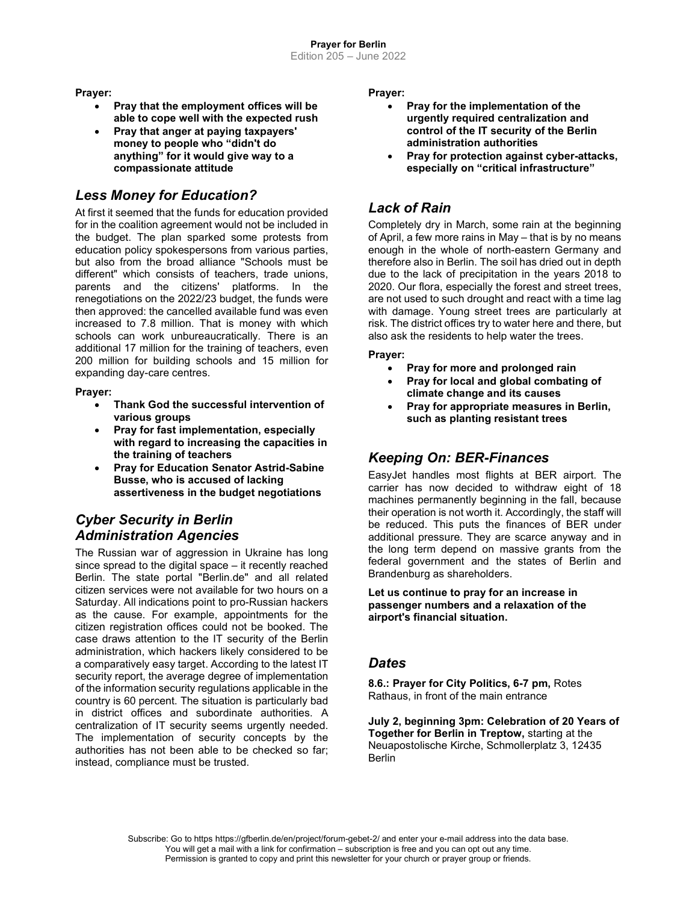Prayer:

- Pray that the employment offices will be able to cope well with the expected rush
- Pray that anger at paying taxpayers' money to people who "didn't do anything" for it would give way to a compassionate attitude

## Less Money for Education?

At first it seemed that the funds for education provided for in the coalition agreement would not be included in the budget. The plan sparked some protests from education policy spokespersons from various parties, but also from the broad alliance "Schools must be different" which consists of teachers, trade unions, parents and the citizens' platforms. In the renegotiations on the 2022/23 budget, the funds were then approved: the cancelled available fund was even increased to 7.8 million. That is money with which schools can work unbureaucratically. There is an additional 17 million for the training of teachers, even 200 million for building schools and 15 million for expanding day-care centres.

Prayer:

- Thank God the successful intervention of various groups
- Pray for fast implementation, especially with regard to increasing the capacities in the training of teachers
- Pray for Education Senator Astrid-Sabine Busse, who is accused of lacking assertiveness in the budget negotiations

# Cyber Security in Berlin Administration Agencies

The Russian war of aggression in Ukraine has long since spread to the digital space – it recently reached Berlin. The state portal "Berlin.de" and all related citizen services were not available for two hours on a Saturday. All indications point to pro-Russian hackers as the cause. For example, appointments for the citizen registration offices could not be booked. The case draws attention to the IT security of the Berlin administration, which hackers likely considered to be a comparatively easy target. According to the latest IT security report, the average degree of implementation of the information security regulations applicable in the country is 60 percent. The situation is particularly bad in district offices and subordinate authorities. A centralization of IT security seems urgently needed. The implementation of security concepts by the authorities has not been able to be checked so far; instead, compliance must be trusted.

Prayer:

- Pray for the implementation of the urgently required centralization and control of the IT security of the Berlin administration authorities
- Pray for protection against cyber-attacks, especially on "critical infrastructure"

## Lack of Rain

Completely dry in March, some rain at the beginning of April, a few more rains in May – that is by no means enough in the whole of north-eastern Germany and therefore also in Berlin. The soil has dried out in depth due to the lack of precipitation in the years 2018 to 2020. Our flora, especially the forest and street trees, are not used to such drought and react with a time lag with damage. Young street trees are particularly at risk. The district offices try to water here and there, but also ask the residents to help water the trees.

#### Prayer:

- Pray for more and prolonged rain
- Pray for local and global combating of climate change and its causes
- Pray for appropriate measures in Berlin, such as planting resistant trees

## Keeping On: BER-Finances

EasyJet handles most flights at BER airport. The carrier has now decided to withdraw eight of 18 machines permanently beginning in the fall, because their operation is not worth it. Accordingly, the staff will be reduced. This puts the finances of BER under additional pressure. They are scarce anyway and in the long term depend on massive grants from the federal government and the states of Berlin and Brandenburg as shareholders.

Let us continue to pray for an increase in passenger numbers and a relaxation of the airport's financial situation.

### **Dates**

8.6.: Prayer for City Politics, 6-7 pm, Rotes Rathaus, in front of the main entrance

July 2, beginning 3pm: Celebration of 20 Years of Together for Berlin in Treptow, starting at the Neuapostolische Kirche, Schmollerplatz 3, 12435 **Berlin**